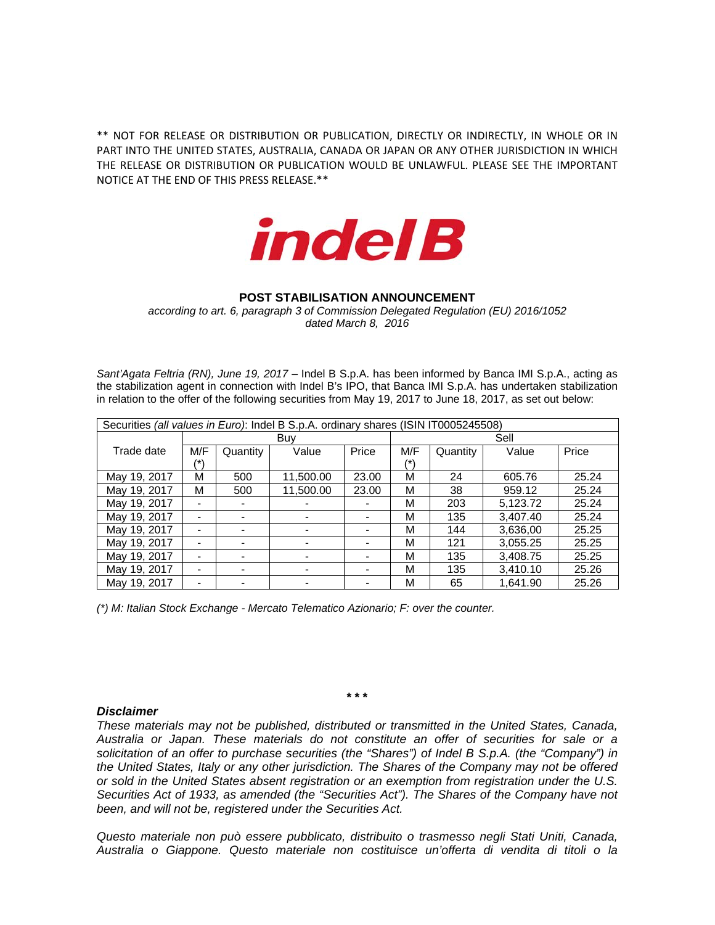\*\* NOT FOR RELEASE OR DISTRIBUTION OR PUBLICATION, DIRECTLY OR INDIRECTLY, IN WHOLE OR IN PART INTO THE UNITED STATES, AUSTRALIA, CANADA OR JAPAN OR ANY OTHER JURISDICTION IN WHICH THE RELEASE OR DISTRIBUTION OR PUBLICATION WOULD BE UNLAWFUL. PLEASE SEE THE IMPORTANT NOTICE AT THE END OF THIS PRESS RELEASE.\*\*



## **POST STABILISATION ANNOUNCEMENT**

*according to art. 6, paragraph 3 of Commission Delegated Regulation (EU) 2016/1052 dated March 8, 2016*

Sant'Agata Feltria (RN), June 19, 2017 – Indel B S.p.A. has been informed by Banca IMI S.p.A., acting as the stabilization agent in connection with Indel B's IPO, that Banca IMI S.p.A. has undertaken stabilization in relation to the offer of the following securities from May 19, 2017 to June 18, 2017, as set out below:

| Securities (all values in Euro): Indel B S.p.A. ordinary shares (ISIN IT0005245508) |     |          |           |       |      |          |          |       |  |
|-------------------------------------------------------------------------------------|-----|----------|-----------|-------|------|----------|----------|-------|--|
|                                                                                     | Buv |          |           |       | Sell |          |          |       |  |
| Trade date                                                                          | M/F | Quantity | Value     | Price | M/F  | Quantity | Value    | Price |  |
|                                                                                     | /*\ |          |           |       | /*)  |          |          |       |  |
| May 19, 2017                                                                        | М   | 500      | 11.500.00 | 23.00 | М    | 24       | 605.76   | 25.24 |  |
| May 19, 2017                                                                        | М   | 500      | 11,500.00 | 23.00 | М    | 38       | 959.12   | 25.24 |  |
| May 19, 2017                                                                        |     |          |           |       | м    | 203      | 5,123.72 | 25.24 |  |
| May 19, 2017                                                                        | -   |          | ۰         |       | м    | 135      | 3,407.40 | 25.24 |  |
| May 19, 2017                                                                        |     |          | ٠         |       | м    | 144      | 3.636.00 | 25.25 |  |
| May 19, 2017                                                                        |     |          |           |       | м    | 121      | 3,055.25 | 25.25 |  |
| May 19, 2017                                                                        |     |          |           |       | М    | 135      | 3.408.75 | 25.25 |  |
| May 19, 2017                                                                        |     |          |           |       | м    | 135      | 3,410.10 | 25.26 |  |
| May 19, 2017                                                                        |     |          |           |       | М    | 65       | 1.641.90 | 25.26 |  |

*(\*) M: Italian Stock Exchange - Mercato Telematico Azionario; F: over the counter.* 

*Disclaimer* 

*These materials may not be published, distributed or transmitted in the United States, Canada, Australia or Japan. These materials do not constitute an offer of securities for sale or a solicitation of an offer to purchase securities (the "Shares") of Indel B S.p.A. (the "Company") in the United States, Italy or any other jurisdiction. The Shares of the Company may not be offered or sold in the United States absent registration or an exemption from registration under the U.S. Securities Act of 1933, as amended (the "Securities Act"). The Shares of the Company have not been, and will not be, registered under the Securities Act.* 

*Questo materiale non può essere pubblicato, distribuito o trasmesso negli Stati Uniti, Canada, Australia o Giappone. Questo materiale non costituisce un'offerta di vendita di titoli o la* 

**\* \* \***